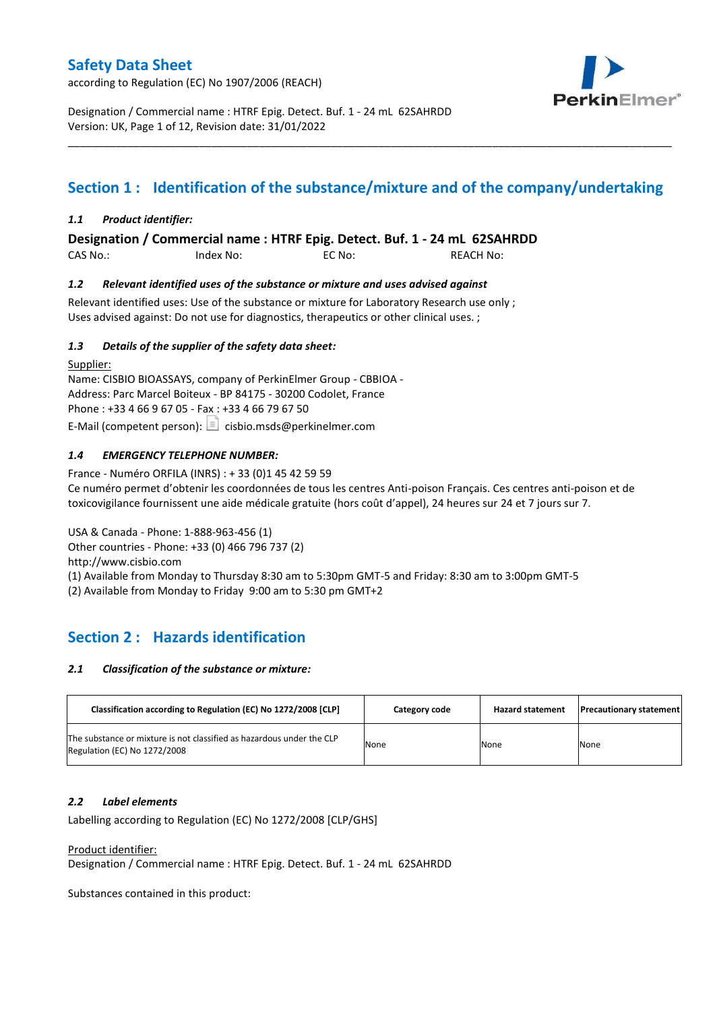according to Regulation (EC) No 1907/2006 (REACH)



Designation / Commercial name : HTRF Epig. Detect. Buf. 1 - 24 mL 62SAHRDD Version: UK, Page 1 of 12, Revision date: 31/01/2022

# **Section 1 : Identification of the substance/mixture and of the company/undertaking**

\_\_\_\_\_\_\_\_\_\_\_\_\_\_\_\_\_\_\_\_\_\_\_\_\_\_\_\_\_\_\_\_\_\_\_\_\_\_\_\_\_\_\_\_\_\_\_\_\_\_\_\_\_\_\_\_\_\_\_\_\_\_\_\_\_\_\_\_\_\_\_\_\_\_\_\_\_\_\_\_\_\_\_\_\_\_\_\_\_\_\_\_\_\_\_\_\_\_\_\_\_

### *1.1 Product identifier:*

**Designation / Commercial name : HTRF Epig. Detect. Buf. 1 - 24 mL 62SAHRDD** 

CAS No.: Index No: EC No: REACH No:

### *1.2 Relevant identified uses of the substance or mixture and uses advised against*

Relevant identified uses: Use of the substance or mixture for Laboratory Research use only ; Uses advised against: Do not use for diagnostics, therapeutics or other clinical uses. ;

### *1.3 Details of the supplier of the safety data sheet:*

Supplier: Name: CISBIO BIOASSAYS, company of PerkinElmer Group - CBBIOA - Address: Parc Marcel Boiteux - BP 84175 - 30200 Codolet, France Phone : +33 4 66 9 67 05 - Fax : +33 4 66 79 67 50 E-Mail (competent person):  $\Box$  cisbio.msds@perkinelmer.com

### *1.4 EMERGENCY TELEPHONE NUMBER:*

France - Numéro ORFILA (INRS) : + 33 (0)1 45 42 59 59 Ce numéro permet d'obtenir les coordonnées de tous les centres Anti-poison Français. Ces centres anti-poison et de toxicovigilance fournissent une aide médicale gratuite (hors coût d'appel), 24 heures sur 24 et 7 jours sur 7.

USA & Canada - Phone: 1-888-963-456 (1) Other countries - Phone: +33 (0) 466 796 737 (2)

http://www.cisbio.com

(1) Available from Monday to Thursday 8:30 am to 5:30pm GMT-5 and Friday: 8:30 am to 3:00pm GMT-5

(2) Available from Monday to Friday 9:00 am to 5:30 pm GMT+2

# **Section 2 : Hazards identification**

#### *2.1 Classification of the substance or mixture:*

| Classification according to Regulation (EC) No 1272/2008 [CLP]                                        | Category code | <b>Hazard statement</b> | <b>Precautionary statement</b> |
|-------------------------------------------------------------------------------------------------------|---------------|-------------------------|--------------------------------|
| The substance or mixture is not classified as hazardous under the CLP<br>Regulation (EC) No 1272/2008 | None          | None                    | None                           |

#### *2.2 Label elements*

Labelling according to Regulation (EC) No 1272/2008 [CLP/GHS]

Product identifier:

Designation / Commercial name : HTRF Epig. Detect. Buf. 1 - 24 mL 62SAHRDD

Substances contained in this product: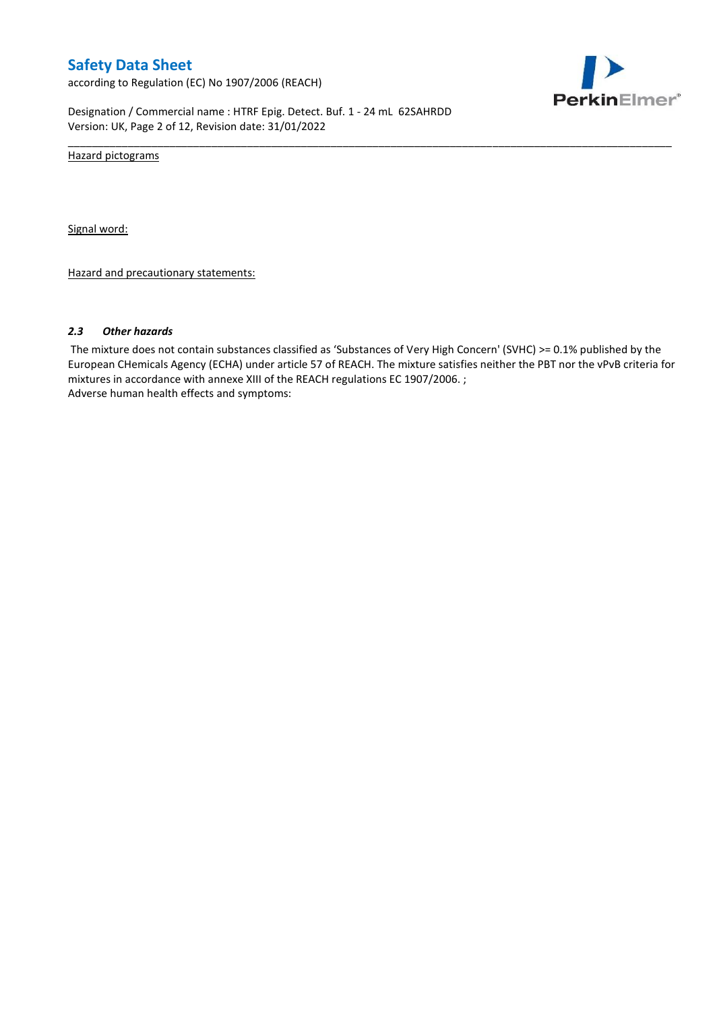according to Regulation (EC) No 1907/2006 (REACH)



Designation / Commercial name : HTRF Epig. Detect. Buf. 1 - 24 mL 62SAHRDD Version: UK, Page 2 of 12, Revision date: 31/01/2022

Hazard pictograms

Signal word:

Hazard and precautionary statements:

#### *2.3 Other hazards*

The mixture does not contain substances classified as 'Substances of Very High Concern' (SVHC) >= 0.1% published by the European CHemicals Agency (ECHA) under article 57 of REACH. The mixture satisfies neither the PBT nor the vPvB criteria for mixtures in accordance with annexe XIII of the REACH regulations EC 1907/2006. ; Adverse human health effects and symptoms:

\_\_\_\_\_\_\_\_\_\_\_\_\_\_\_\_\_\_\_\_\_\_\_\_\_\_\_\_\_\_\_\_\_\_\_\_\_\_\_\_\_\_\_\_\_\_\_\_\_\_\_\_\_\_\_\_\_\_\_\_\_\_\_\_\_\_\_\_\_\_\_\_\_\_\_\_\_\_\_\_\_\_\_\_\_\_\_\_\_\_\_\_\_\_\_\_\_\_\_\_\_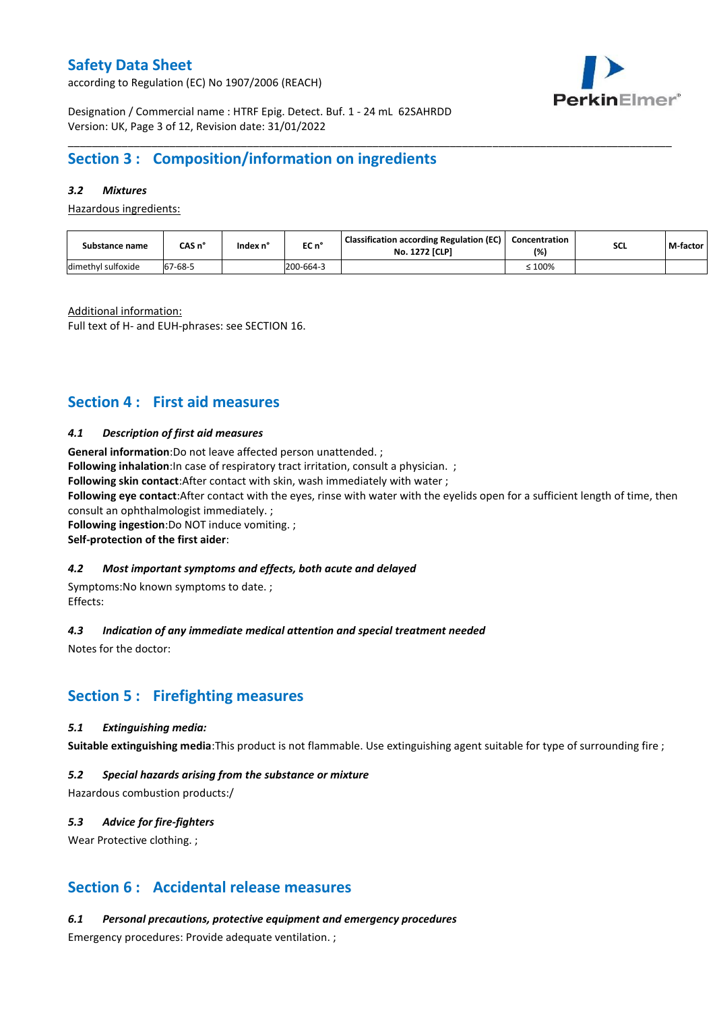according to Regulation (EC) No 1907/2006 (REACH)



Designation / Commercial name : HTRF Epig. Detect. Buf. 1 - 24 mL 62SAHRDD Version: UK, Page 3 of 12, Revision date: 31/01/2022

# **Section 3 : Composition/information on ingredients**

### *3.2 Mixtures*

Hazardous ingredients:

| Substance name     | CAS n'  | lndex n' | EC n°     | <b>Classification according Regulation (EC)</b><br><b>No. 1272 [CLP]</b> | Concentration<br>(%) | <b>SCL</b> | M-factor |
|--------------------|---------|----------|-----------|--------------------------------------------------------------------------|----------------------|------------|----------|
| dimethyl sulfoxide | 67-68-5 |          | 200-664-3 |                                                                          | $\leq 100\%$         |            |          |

\_\_\_\_\_\_\_\_\_\_\_\_\_\_\_\_\_\_\_\_\_\_\_\_\_\_\_\_\_\_\_\_\_\_\_\_\_\_\_\_\_\_\_\_\_\_\_\_\_\_\_\_\_\_\_\_\_\_\_\_\_\_\_\_\_\_\_\_\_\_\_\_\_\_\_\_\_\_\_\_\_\_\_\_\_\_\_\_\_\_\_\_\_\_\_\_\_\_\_\_\_

Additional information:

Full text of H- and EUH-phrases: see SECTION 16.

# **Section 4 : First aid measures**

#### *4.1 Description of first aid measures*

**General information**:Do not leave affected person unattended. ;

**Following inhalation**: In case of respiratory tract irritation, consult a physician. ;

**Following skin contact**:After contact with skin, wash immediately with water ;

**Following eye contact**:After contact with the eyes, rinse with water with the eyelids open for a sufficient length of time, then consult an ophthalmologist immediately. ;

**Following ingestion**:Do NOT induce vomiting. ;

**Self-protection of the first aider**:

#### *4.2 Most important symptoms and effects, both acute and delayed*

Symptoms:No known symptoms to date. ; Effects:

#### *4.3 Indication of any immediate medical attention and special treatment needed*

Notes for the doctor:

## **Section 5 : Firefighting measures**

#### *5.1 Extinguishing media:*

**Suitable extinguishing media**:This product is not flammable. Use extinguishing agent suitable for type of surrounding fire ;

#### *5.2 Special hazards arising from the substance or mixture*

Hazardous combustion products:/

#### *5.3 Advice for fire-fighters*

Wear Protective clothing.;

## **Section 6 : Accidental release measures**

*6.1 Personal precautions, protective equipment and emergency procedures*

Emergency procedures: Provide adequate ventilation. ;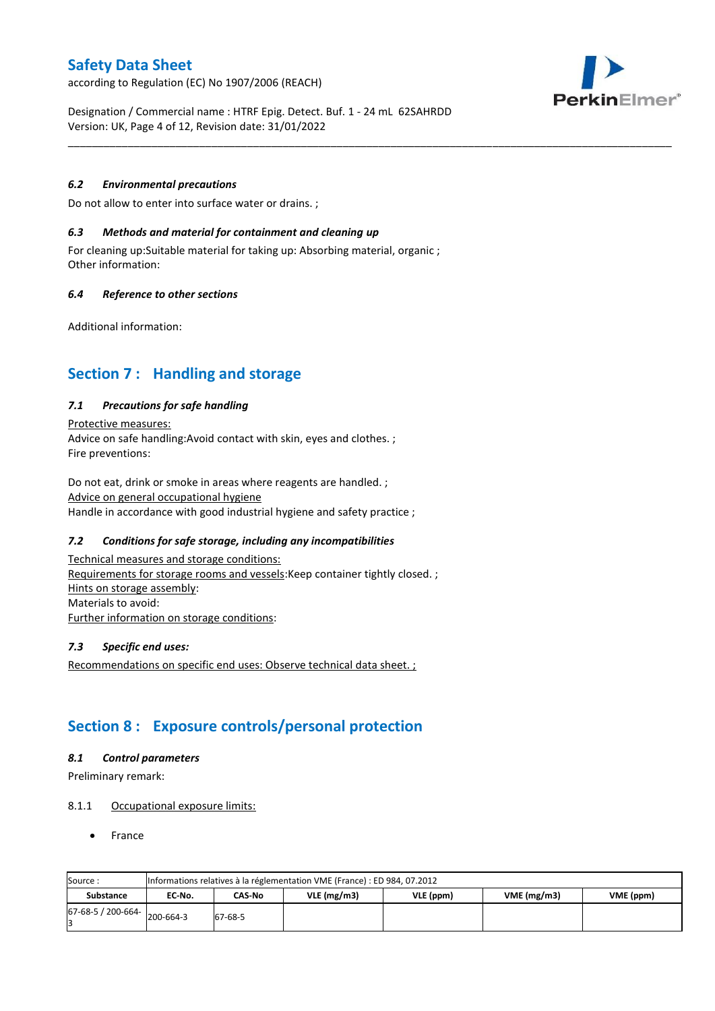according to Regulation (EC) No 1907/2006 (REACH)



Designation / Commercial name : HTRF Epig. Detect. Buf. 1 - 24 mL 62SAHRDD Version: UK, Page 4 of 12, Revision date: 31/01/2022

\_\_\_\_\_\_\_\_\_\_\_\_\_\_\_\_\_\_\_\_\_\_\_\_\_\_\_\_\_\_\_\_\_\_\_\_\_\_\_\_\_\_\_\_\_\_\_\_\_\_\_\_\_\_\_\_\_\_\_\_\_\_\_\_\_\_\_\_\_\_\_\_\_\_\_\_\_\_\_\_\_\_\_\_\_\_\_\_\_\_\_\_\_\_\_\_\_\_\_\_\_

#### *6.2 Environmental precautions*

Do not allow to enter into surface water or drains. ;

#### *6.3 Methods and material for containment and cleaning up*

For cleaning up:Suitable material for taking up: Absorbing material, organic ; Other information:

#### *6.4 Reference to other sections*

Additional information:

# **Section 7 : Handling and storage**

#### *7.1 Precautions for safe handling*

Protective measures: Advice on safe handling:Avoid contact with skin, eyes and clothes. ; Fire preventions:

Do not eat, drink or smoke in areas where reagents are handled. ; Advice on general occupational hygiene Handle in accordance with good industrial hygiene and safety practice ;

### *7.2 Conditions for safe storage, including any incompatibilities*

Technical measures and storage conditions: Requirements for storage rooms and vessels: Keep container tightly closed. ; Hints on storage assembly: Materials to avoid: Further information on storage conditions:

#### *7.3 Specific end uses:*

Recommendations on specific end uses: Observe technical data sheet. ;

# **Section 8 : Exposure controls/personal protection**

#### *8.1 Control parameters*

Preliminary remark:

#### 8.1.1 Occupational exposure limits:

France

| Source:            |           | Informations relatives à la réglementation VME (France) : ED 984, 07.2012 |               |           |            |           |  |  |  |  |  |  |  |
|--------------------|-----------|---------------------------------------------------------------------------|---------------|-----------|------------|-----------|--|--|--|--|--|--|--|
| <b>Substance</b>   | EC No.    | CAS-No                                                                    | $VLE$ (mg/m3) | VLE (ppm) | VME(mg/m3) | VME (ppm) |  |  |  |  |  |  |  |
| 67-68-5 / 200-664- | 200-664-3 | 67-68-5                                                                   |               |           |            |           |  |  |  |  |  |  |  |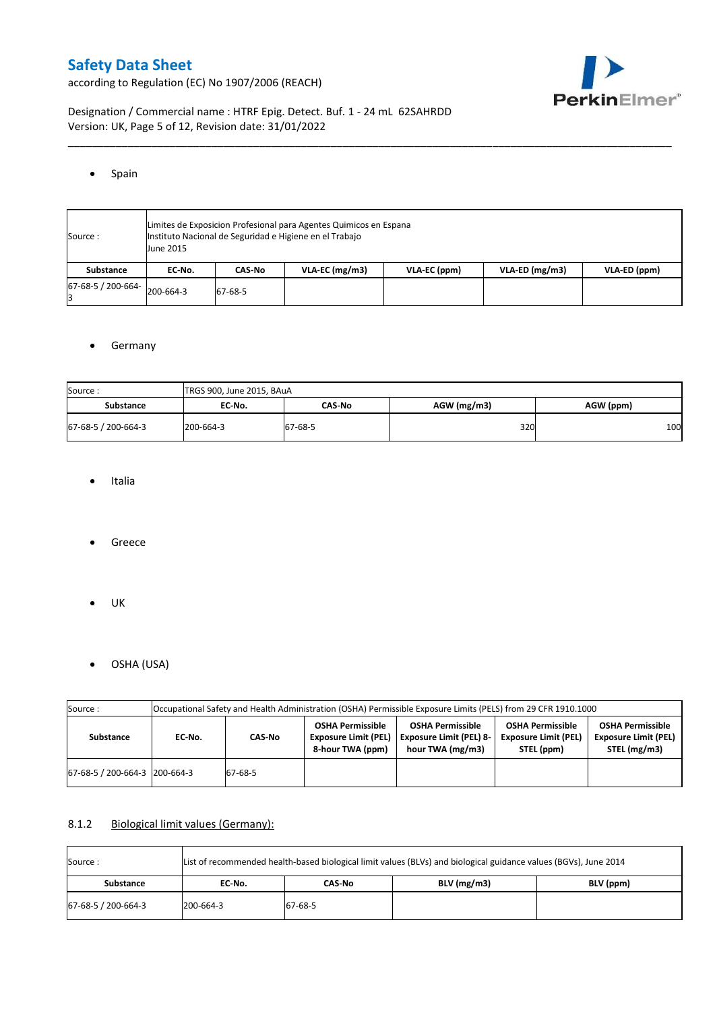according to Regulation (EC) No 1907/2006 (REACH)



Designation / Commercial name : HTRF Epig. Detect. Buf. 1 - 24 mL 62SAHRDD Version: UK, Page 5 of 12, Revision date: 31/01/2022

#### • Spain

| Source:            | June 2015 | Limites de Exposicion Profesional para Agentes Quimicos en Espana<br>Instituto Nacional de Seguridad e Higiene en el Trabajo |                  |              |                  |              |  |  |  |  |  |  |
|--------------------|-----------|------------------------------------------------------------------------------------------------------------------------------|------------------|--------------|------------------|--------------|--|--|--|--|--|--|
| <b>Substance</b>   | EC No.    | CAS No                                                                                                                       | $VLA-EC$ (mg/m3) | VLA-EC (ppm) | $VLA-ED$ (mg/m3) | VLA-ED (ppm) |  |  |  |  |  |  |
| 67-68-5 / 200-664- | 200-664-3 | 67-68-5                                                                                                                      |                  |              |                  |              |  |  |  |  |  |  |

\_\_\_\_\_\_\_\_\_\_\_\_\_\_\_\_\_\_\_\_\_\_\_\_\_\_\_\_\_\_\_\_\_\_\_\_\_\_\_\_\_\_\_\_\_\_\_\_\_\_\_\_\_\_\_\_\_\_\_\_\_\_\_\_\_\_\_\_\_\_\_\_\_\_\_\_\_\_\_\_\_\_\_\_\_\_\_\_\_\_\_\_\_\_\_\_\_\_\_\_\_

### **•** Germany

| Source:             | TRGS 900, June 2015, BAuA |         |             |           |  |  |  |  |  |  |
|---------------------|---------------------------|---------|-------------|-----------|--|--|--|--|--|--|
| <b>Substance</b>    | EC-No.                    | CAS No  | AGW (mg/m3) | AGW (ppm) |  |  |  |  |  |  |
| 67-68-5 / 200-664-3 | 200-664-3                 | 67-68-5 | 320         | 100       |  |  |  |  |  |  |

- Italia
- Greece
- $\bullet$  UK
- OSHA (USA)

| Source:                       |        |         |                                                                            | Occupational Safety and Health Administration (OSHA) Permissible Exposure Limits (PELS) from 29 CFR 1910.1000 |                                                                      |                                                                        |
|-------------------------------|--------|---------|----------------------------------------------------------------------------|---------------------------------------------------------------------------------------------------------------|----------------------------------------------------------------------|------------------------------------------------------------------------|
| Substance                     | EC-No. | CAS No  | <b>OSHA Permissible</b><br><b>Exposure Limit (PEL)</b><br>8-hour TWA (ppm) | <b>OSHA Permissible</b><br><b>Exposure Limit (PEL) 8-</b><br>hour TWA (mg/m3)                                 | <b>OSHA Permissible</b><br><b>Exposure Limit (PEL)</b><br>STEL (ppm) | <b>OSHA Permissible</b><br><b>Exposure Limit (PEL)</b><br>STEL (mg/m3) |
| 67-68-5 / 200-664-3 200-664-3 |        | 67-68-5 |                                                                            |                                                                                                               |                                                                      |                                                                        |

### 8.1.2 Biological limit values (Germany):

| List of recommended health-based biological limit values (BLVs) and biological guidance values (BGVs), June 2014<br>Source: |           |         |               |           |  |  |  |  |  |
|-----------------------------------------------------------------------------------------------------------------------------|-----------|---------|---------------|-----------|--|--|--|--|--|
| Substance                                                                                                                   | EC No.    | CAS-No  | $BLV$ (mg/m3) | BLV (ppm) |  |  |  |  |  |
| 67-68-5 / 200-664-3                                                                                                         | 200-664-3 | 67-68-5 |               |           |  |  |  |  |  |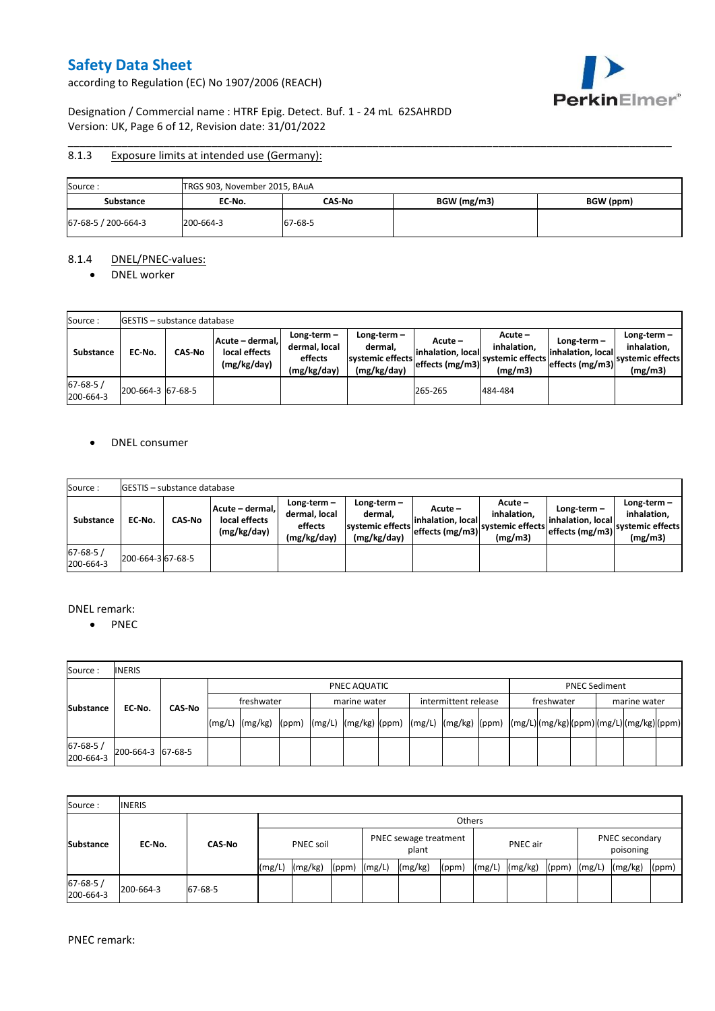according to Regulation (EC) No 1907/2006 (REACH)



### Designation / Commercial name : HTRF Epig. Detect. Buf. 1 - 24 mL 62SAHRDD Version: UK, Page 6 of 12, Revision date: 31/01/2022

#### \_\_\_\_\_\_\_\_\_\_\_\_\_\_\_\_\_\_\_\_\_\_\_\_\_\_\_\_\_\_\_\_\_\_\_\_\_\_\_\_\_\_\_\_\_\_\_\_\_\_\_\_\_\_\_\_\_\_\_\_\_\_\_\_\_\_\_\_\_\_\_\_\_\_\_\_\_\_\_\_\_\_\_\_\_\_\_\_\_\_\_\_\_\_\_\_\_\_\_\_\_ 8.1.3 Exposure limits at intended use (Germany):

| Source:             | TRGS 903, November 2015, BAuA |         |             |           |  |  |  |  |  |  |
|---------------------|-------------------------------|---------|-------------|-----------|--|--|--|--|--|--|
| Substance           | EC-No.                        | CAS-No  | BGW (mg/m3) | BGW (ppm) |  |  |  |  |  |  |
| 67-68-5 / 200-664-3 | 200-664-3                     | 67-68-5 |             |           |  |  |  |  |  |  |

#### 8.1.4 DNEL/PNEC-values:

• DNEL worker

| Source:                     |                   | <b>GESTIS</b> - substance database |                                                 |                                                          |                                                           |                                                    |                                                       |                                                      |                                                             |
|-----------------------------|-------------------|------------------------------------|-------------------------------------------------|----------------------------------------------------------|-----------------------------------------------------------|----------------------------------------------------|-------------------------------------------------------|------------------------------------------------------|-------------------------------------------------------------|
| Substance                   | EC No.            | <b>CAS-No</b>                      | Acute - dermal,<br>local effects<br>(mg/kg/day) | Long-term $-$<br>dermal, local<br>effects<br>(mg/kg/day) | Long-term –<br>dermal.<br>systemic effects<br>(mg/kg/day) | $Acute -$<br>linhalation. local<br>effects (mg/m3) | Acute -<br>inhalation.<br>systemic effects<br>(mg/m3) | Long-term -<br>linhalation. local<br>effects (mg/m3) | $Long-term -$<br>inhalation.<br>systemic effects<br>(mg/m3) |
| $67 - 68 - 5/$<br>200-664-3 | 200-664-3 67-68-5 |                                    |                                                 |                                                          |                                                           | 265-265                                            | 484-484                                               |                                                      |                                                             |

#### • DNEL consumer

| Source:                     |                   | <b>GESTIS</b> - substance database |                                                 |                                                       |                                                          |                                                  |                                                         |                                                       |                                                             |
|-----------------------------|-------------------|------------------------------------|-------------------------------------------------|-------------------------------------------------------|----------------------------------------------------------|--------------------------------------------------|---------------------------------------------------------|-------------------------------------------------------|-------------------------------------------------------------|
| <b>Substance</b>            | EC-No.            | CAS No                             | Acute – dermal.<br>local effects<br>(mg/kg/day) | Long-term-<br>dermal, local<br>effects<br>(mg/kg/day) | Long-term-<br>dermal.<br>systemic effects<br>(mg/kg/day) | Acute -<br>linhalation. local<br>effects (mg/m3) | $Acute -$<br>inhalation.<br>systemic effects<br>(mg/m3) | Long-term –<br>linhalation. local<br>leffects (mg/m3) | Long-term $-$<br>inhalation.<br>systemic effects<br>(mg/m3) |
| $67 - 68 - 5/$<br>200-664-3 | 200-664-3 67-68-5 |                                    |                                                 |                                                       |                                                          |                                                  |                                                         |                                                       |                                                             |

#### DNEL remark:

• PNEC

| Source:               | <b>INERIS</b>     |        |              |            |                                                                                                                                                                                                                                                                                                                                                                                                                                                                   |  |              |  |  |                      |  |                      |  |  |              |  |  |
|-----------------------|-------------------|--------|--------------|------------|-------------------------------------------------------------------------------------------------------------------------------------------------------------------------------------------------------------------------------------------------------------------------------------------------------------------------------------------------------------------------------------------------------------------------------------------------------------------|--|--------------|--|--|----------------------|--|----------------------|--|--|--------------|--|--|
|                       |                   |        | PNEC AQUATIC |            |                                                                                                                                                                                                                                                                                                                                                                                                                                                                   |  |              |  |  |                      |  | <b>PNEC Sediment</b> |  |  |              |  |  |
|                       |                   |        |              | freshwater |                                                                                                                                                                                                                                                                                                                                                                                                                                                                   |  | marine water |  |  | intermittent release |  | freshwater           |  |  | marine water |  |  |
| <b>Substance</b>      |                   | EC-No. | CAS-No       | (mg/L)     | $\lceil \frac{\text{mg}}{\text{mg}} \rceil \text{g} \rceil \text{g} \rceil \text{g} \rceil \text{g} \rceil \text{g} \rceil \text{g} \rceil \text{g} \rceil \text{g} \rceil \text{g} \rceil \text{g} \rceil \text{g} \rceil \text{g} \rceil \text{g} \rceil \text{g} \rceil \text{g} \rceil \text{g} \rceil \text{g} \rceil \text{g} \rceil \text{g} \rceil \text{g} \rceil \text{g} \rceil \text{g} \rceil \text{g} \rceil \text{g} \rceil \text{g} \rceil \text$ |  |              |  |  |                      |  |                      |  |  |              |  |  |
| 67-68-5/<br>200-664-3 | 200-664-3 67-68-5 |        |              |            |                                                                                                                                                                                                                                                                                                                                                                                                                                                                   |  |              |  |  |                      |  |                      |  |  |              |  |  |

| Source:                     | <b>INERIS</b> |               |                  |               |                                |        |         |          |        |         |                             |        |         |       |
|-----------------------------|---------------|---------------|------------------|---------------|--------------------------------|--------|---------|----------|--------|---------|-----------------------------|--------|---------|-------|
|                             |               |               |                  | <b>Others</b> |                                |        |         |          |        |         |                             |        |         |       |
| <b>Substance</b>            | EC-No.        | <b>CAS-No</b> | <b>PNEC soil</b> |               | PNEC sewage treatment<br>plant |        |         | PNEC air |        |         | PNEC secondary<br>poisoning |        |         |       |
|                             |               |               | (mg/L)           | (mg/kg)       | (ppm)                          | (mg/L) | (mg/kg) | (ppm     | (mg/L) | (mg/kg) | (ppm)                       | (mg/L) | (mg/kg) | (ppm) |
| $67 - 68 - 5/$<br>200-664-3 | 200-664-3     | 67-68-5       |                  |               |                                |        |         |          |        |         |                             |        |         |       |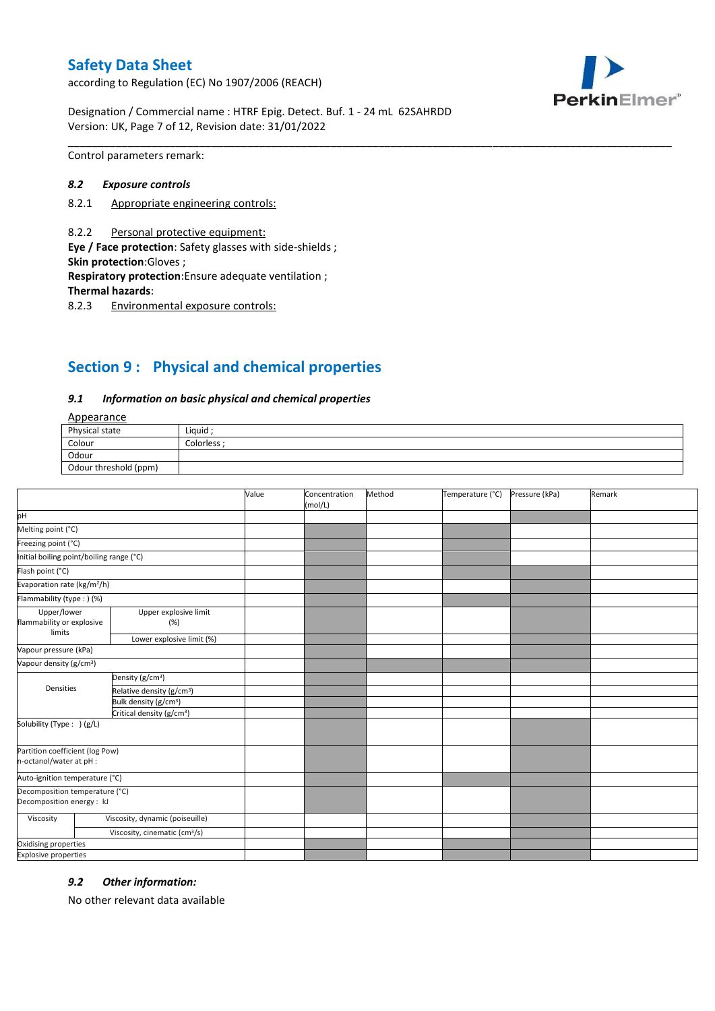according to Regulation (EC) No 1907/2006 (REACH)



Designation / Commercial name : HTRF Epig. Detect. Buf. 1 - 24 mL 62SAHRDD Version: UK, Page 7 of 12, Revision date: 31/01/2022

Control parameters remark:

#### *8.2 Exposure controls*

- 8.2.1 Appropriate engineering controls:
- 8.2.2 Personal protective equipment:

**Eye / Face protection**: Safety glasses with side-shields ; **Skin protection**:Gloves ;

**Respiratory protection**:Ensure adequate ventilation ;

**Thermal hazards**:

8.2.3 Environmental exposure controls:

# **Section 9 : Physical and chemical properties**

#### *9.1 Information on basic physical and chemical properties*

### **Annearance**

| n                     |            |  |  |  |
|-----------------------|------------|--|--|--|
| Physical state        | Liquid     |  |  |  |
| Colour                | Colorless: |  |  |  |
| Odour                 |            |  |  |  |
| Odour threshold (ppm) |            |  |  |  |

\_\_\_\_\_\_\_\_\_\_\_\_\_\_\_\_\_\_\_\_\_\_\_\_\_\_\_\_\_\_\_\_\_\_\_\_\_\_\_\_\_\_\_\_\_\_\_\_\_\_\_\_\_\_\_\_\_\_\_\_\_\_\_\_\_\_\_\_\_\_\_\_\_\_\_\_\_\_\_\_\_\_\_\_\_\_\_\_\_\_\_\_\_\_\_\_\_\_\_\_\_

|                                                             |                                           | Value | Concentration<br>(mol/L) | Method | Temperature (°C) | Pressure (kPa) | Remark |
|-------------------------------------------------------------|-------------------------------------------|-------|--------------------------|--------|------------------|----------------|--------|
| pH                                                          |                                           |       |                          |        |                  |                |        |
| Melting point (°C)                                          |                                           |       |                          |        |                  |                |        |
| Freezing point (°C)                                         |                                           |       |                          |        |                  |                |        |
| Initial boiling point/boiling range (°C)                    |                                           |       |                          |        |                  |                |        |
| Flash point (°C)                                            |                                           |       |                          |        |                  |                |        |
| Evaporation rate (kg/m <sup>2</sup> /h)                     |                                           |       |                          |        |                  |                |        |
| Flammability (type:) (%)                                    |                                           |       |                          |        |                  |                |        |
| Upper/lower<br>flammability or explosive                    | Upper explosive limit<br>(%)              |       |                          |        |                  |                |        |
| limits                                                      | Lower explosive limit (%)                 |       |                          |        |                  |                |        |
| Vapour pressure (kPa)                                       |                                           |       |                          |        |                  |                |        |
| Vapour density (g/cm <sup>3</sup> )                         |                                           |       |                          |        |                  |                |        |
|                                                             | Density (g/cm <sup>3</sup> )              |       |                          |        |                  |                |        |
| Densities                                                   | Relative density (g/cm <sup>3</sup> )     |       |                          |        |                  |                |        |
|                                                             | Bulk density (g/cm <sup>3</sup> )         |       |                          |        |                  |                |        |
|                                                             | Critical density (g/cm <sup>3</sup> )     |       |                          |        |                  |                |        |
| Solubility (Type: ) (g/L)                                   |                                           |       |                          |        |                  |                |        |
| Partition coefficient (log Pow)<br>n-octanol/water at pH :  |                                           |       |                          |        |                  |                |        |
| Auto-ignition temperature (°C)                              |                                           |       |                          |        |                  |                |        |
| Decomposition temperature (°C)<br>Decomposition energy : kJ |                                           |       |                          |        |                  |                |        |
| Viscosity                                                   | Viscosity, dynamic (poiseuille)           |       |                          |        |                  |                |        |
|                                                             | Viscosity, cinematic (cm <sup>3</sup> /s) |       |                          |        |                  |                |        |
| Oxidising properties                                        |                                           |       |                          |        |                  |                |        |
| <b>Explosive properties</b>                                 |                                           |       |                          |        |                  |                |        |

### *9.2 Other information:*

No other relevant data available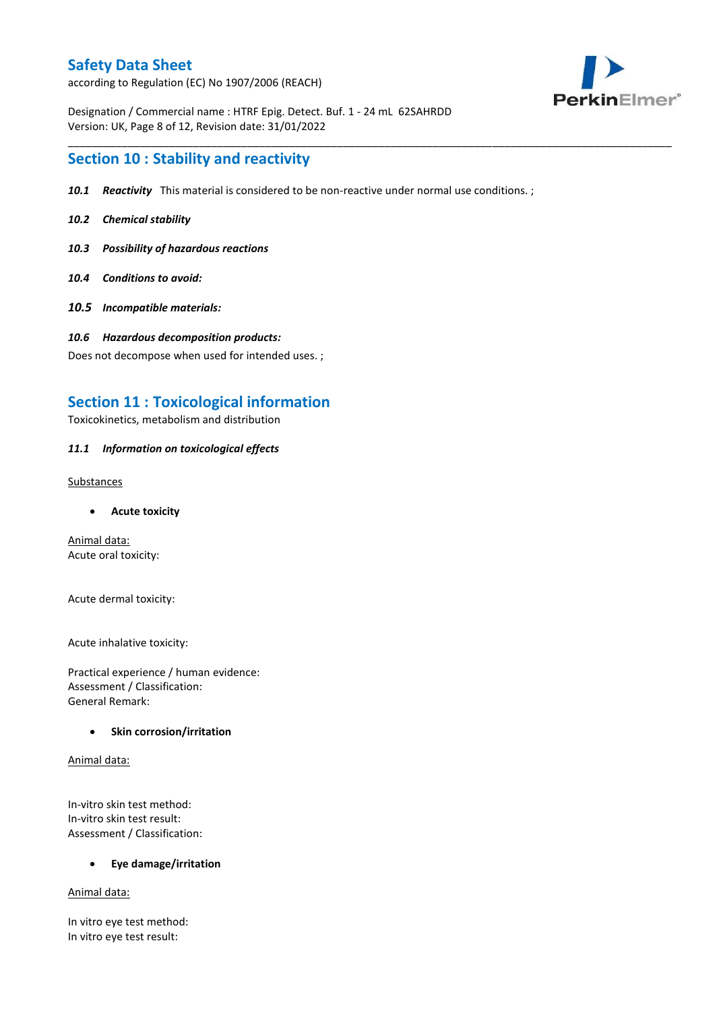according to Regulation (EC) No 1907/2006 (REACH)



Designation / Commercial name : HTRF Epig. Detect. Buf. 1 - 24 mL 62SAHRDD Version: UK, Page 8 of 12, Revision date: 31/01/2022

## **Section 10 : Stability and reactivity**

*10.1 Reactivity* This material is considered to be non-reactive under normal use conditions. ;

\_\_\_\_\_\_\_\_\_\_\_\_\_\_\_\_\_\_\_\_\_\_\_\_\_\_\_\_\_\_\_\_\_\_\_\_\_\_\_\_\_\_\_\_\_\_\_\_\_\_\_\_\_\_\_\_\_\_\_\_\_\_\_\_\_\_\_\_\_\_\_\_\_\_\_\_\_\_\_\_\_\_\_\_\_\_\_\_\_\_\_\_\_\_\_\_\_\_\_\_\_

- *10.2 Chemical stability*
- *10.3 Possibility of hazardous reactions*
- *10.4 Conditions to avoid:*
- *10.5 Incompatible materials:*
- *10.6 Hazardous decomposition products:*

Does not decompose when used for intended uses. ;

# **Section 11 : Toxicological information**

Toxicokinetics, metabolism and distribution

### *11.1 Information on toxicological effects*

Substances

**Acute toxicity**

Animal data: Acute oral toxicity:

Acute dermal toxicity:

Acute inhalative toxicity:

Practical experience / human evidence: Assessment / Classification: General Remark:

### **•** Skin corrosion/irritation

Animal data:

In-vitro skin test method: In-vitro skin test result: Assessment / Classification:

**Eye damage/irritation**

Animal data:

In vitro eye test method: In vitro eye test result: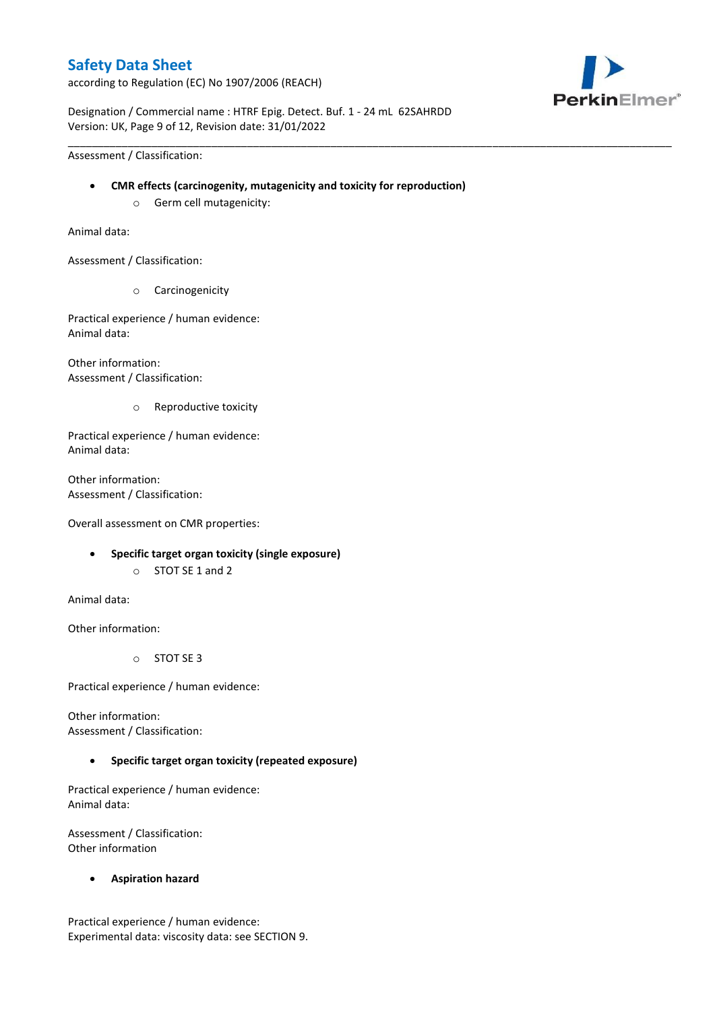according to Regulation (EC) No 1907/2006 (REACH)



Designation / Commercial name : HTRF Epig. Detect. Buf. 1 - 24 mL 62SAHRDD Version: UK, Page 9 of 12, Revision date: 31/01/2022

Assessment / Classification:

**CMR effects (carcinogenity, mutagenicity and toxicity for reproduction)**

\_\_\_\_\_\_\_\_\_\_\_\_\_\_\_\_\_\_\_\_\_\_\_\_\_\_\_\_\_\_\_\_\_\_\_\_\_\_\_\_\_\_\_\_\_\_\_\_\_\_\_\_\_\_\_\_\_\_\_\_\_\_\_\_\_\_\_\_\_\_\_\_\_\_\_\_\_\_\_\_\_\_\_\_\_\_\_\_\_\_\_\_\_\_\_\_\_\_\_\_\_

o Germ cell mutagenicity:

Animal data:

Assessment / Classification:

o Carcinogenicity

Practical experience / human evidence: Animal data:

Other information: Assessment / Classification:

o Reproductive toxicity

Practical experience / human evidence: Animal data:

Other information: Assessment / Classification:

Overall assessment on CMR properties:

- **Specific target organ toxicity (single exposure)**
	- o STOT SE 1 and 2

Animal data:

Other information:

o STOT SE 3

Practical experience / human evidence:

Other information: Assessment / Classification:

### **Specific target organ toxicity (repeated exposure)**

Practical experience / human evidence: Animal data:

Assessment / Classification: Other information

**Aspiration hazard**

Practical experience / human evidence: Experimental data: viscosity data: see SECTION 9.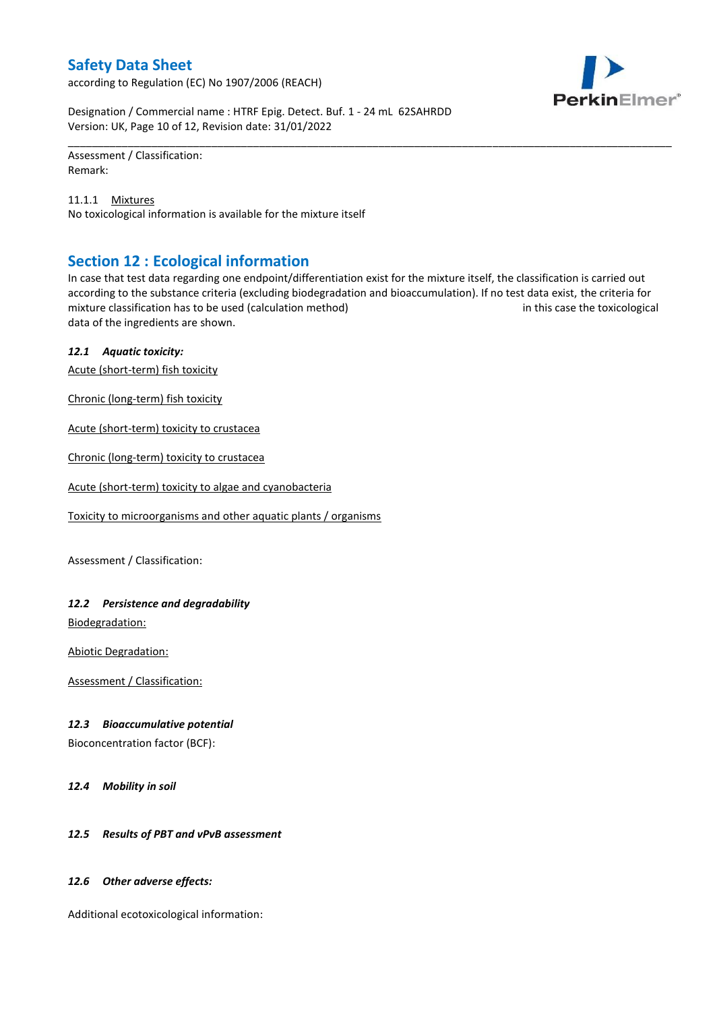according to Regulation (EC) No 1907/2006 (REACH)



Designation / Commercial name : HTRF Epig. Detect. Buf. 1 - 24 mL 62SAHRDD Version: UK, Page 10 of 12, Revision date: 31/01/2022

Assessment / Classification: Remark:

11.1.1 Mixtures No toxicological information is available for the mixture itself

# **Section 12 : Ecological information**

In case that test data regarding one endpoint/differentiation exist for the mixture itself, the classification is carried out according to the substance criteria (excluding biodegradation and bioaccumulation). If no test data exist, the criteria for mixture classification has to be used (calculation method) in this case the toxicological data of the ingredients are shown.

\_\_\_\_\_\_\_\_\_\_\_\_\_\_\_\_\_\_\_\_\_\_\_\_\_\_\_\_\_\_\_\_\_\_\_\_\_\_\_\_\_\_\_\_\_\_\_\_\_\_\_\_\_\_\_\_\_\_\_\_\_\_\_\_\_\_\_\_\_\_\_\_\_\_\_\_\_\_\_\_\_\_\_\_\_\_\_\_\_\_\_\_\_\_\_\_\_\_\_\_\_

### *12.1 Aquatic toxicity:*

Acute (short-term) fish toxicity

Chronic (long-term) fish toxicity

Acute (short-term) toxicity to crustacea

Chronic (long-term) toxicity to crustacea

Acute (short-term) toxicity to algae and cyanobacteria

Toxicity to microorganisms and other aquatic plants / organisms

Assessment / Classification:

### *12.2 Persistence and degradability*

Biodegradation:

Abiotic Degradation:

Assessment / Classification:

### *12.3 Bioaccumulative potential*

Bioconcentration factor (BCF):

*12.4 Mobility in soil*

### *12.5 Results of PBT and vPvB assessment*

### *12.6 Other adverse effects:*

Additional ecotoxicological information: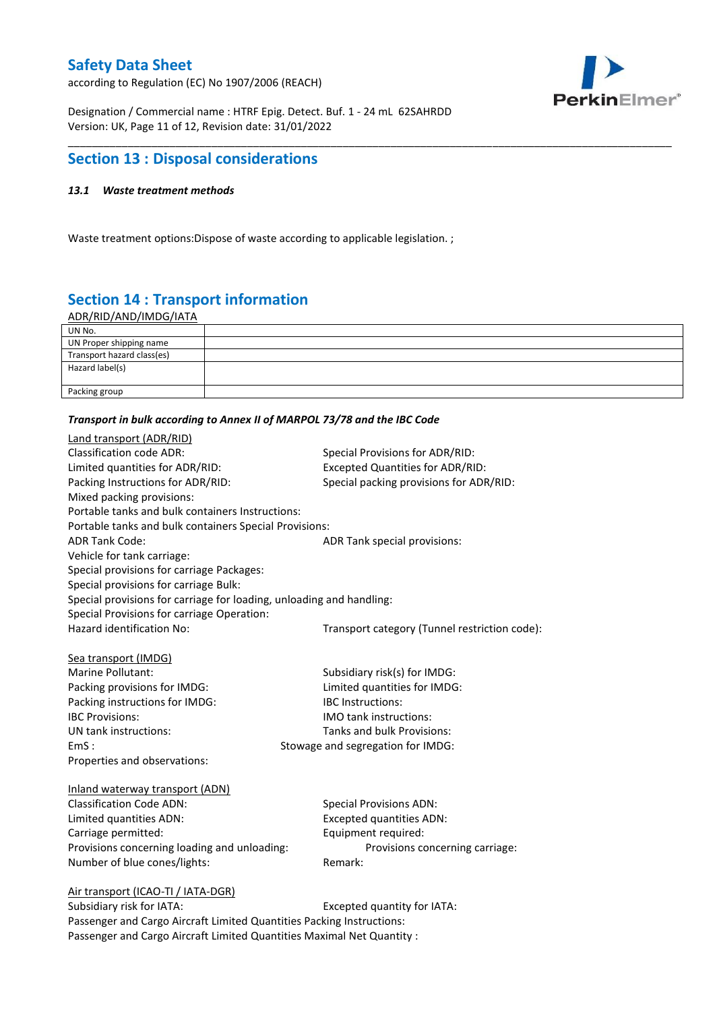according to Regulation (EC) No 1907/2006 (REACH)



Designation / Commercial name : HTRF Epig. Detect. Buf. 1 - 24 mL 62SAHRDD Version: UK, Page 11 of 12, Revision date: 31/01/2022

# **Section 13 : Disposal considerations**

### *13.1 Waste treatment methods*

Waste treatment options:Dispose of waste according to applicable legislation. ;

# **Section 14 : Transport information**

ADR/RID/AND/IMDG/IATA

| UN No.                     |  |
|----------------------------|--|
| UN Proper shipping name    |  |
| Transport hazard class(es) |  |
| Hazard label(s)            |  |
|                            |  |
| Packing group              |  |

\_\_\_\_\_\_\_\_\_\_\_\_\_\_\_\_\_\_\_\_\_\_\_\_\_\_\_\_\_\_\_\_\_\_\_\_\_\_\_\_\_\_\_\_\_\_\_\_\_\_\_\_\_\_\_\_\_\_\_\_\_\_\_\_\_\_\_\_\_\_\_\_\_\_\_\_\_\_\_\_\_\_\_\_\_\_\_\_\_\_\_\_\_\_\_\_\_\_\_\_\_

#### *Transport in bulk according to Annex II of MARPOL 73/78 and the IBC Code*

| Land transport (ADR/RID)                                             |                                               |  |  |  |  |
|----------------------------------------------------------------------|-----------------------------------------------|--|--|--|--|
| <b>Classification code ADR:</b>                                      | Special Provisions for ADR/RID:               |  |  |  |  |
| Limited quantities for ADR/RID:                                      | <b>Excepted Quantities for ADR/RID:</b>       |  |  |  |  |
| Packing Instructions for ADR/RID:                                    | Special packing provisions for ADR/RID:       |  |  |  |  |
| Mixed packing provisions:                                            |                                               |  |  |  |  |
| Portable tanks and bulk containers Instructions:                     |                                               |  |  |  |  |
| Portable tanks and bulk containers Special Provisions:               |                                               |  |  |  |  |
| <b>ADR Tank Code:</b>                                                | ADR Tank special provisions:                  |  |  |  |  |
| Vehicle for tank carriage:                                           |                                               |  |  |  |  |
| Special provisions for carriage Packages:                            |                                               |  |  |  |  |
| Special provisions for carriage Bulk:                                |                                               |  |  |  |  |
| Special provisions for carriage for loading, unloading and handling: |                                               |  |  |  |  |
| Special Provisions for carriage Operation:                           |                                               |  |  |  |  |
| Hazard identification No:                                            | Transport category (Tunnel restriction code): |  |  |  |  |
|                                                                      |                                               |  |  |  |  |
| Sea transport (IMDG)                                                 |                                               |  |  |  |  |
| Marine Pollutant:                                                    | Subsidiary risk(s) for IMDG:                  |  |  |  |  |
| Packing provisions for IMDG:                                         | Limited quantities for IMDG:                  |  |  |  |  |
| Packing instructions for IMDG:                                       | IBC Instructions:                             |  |  |  |  |
| <b>IBC Provisions:</b>                                               | <b>IMO</b> tank instructions:                 |  |  |  |  |
| UN tank instructions:                                                | Tanks and bulk Provisions:                    |  |  |  |  |
| EmS:                                                                 | Stowage and segregation for IMDG:             |  |  |  |  |
| Properties and observations:                                         |                                               |  |  |  |  |
| Inland waterway transport (ADN)                                      |                                               |  |  |  |  |
| <b>Classification Code ADN:</b>                                      | <b>Special Provisions ADN:</b>                |  |  |  |  |
| Limited quantities ADN:                                              | <b>Excepted quantities ADN:</b>               |  |  |  |  |
| Carriage permitted:                                                  | Equipment required:                           |  |  |  |  |
| Provisions concerning loading and unloading:                         | Provisions concerning carriage:               |  |  |  |  |
| Number of blue cones/lights:                                         | Remark:                                       |  |  |  |  |
|                                                                      |                                               |  |  |  |  |
| Air transport (ICAO-TI / IATA-DGR)                                   |                                               |  |  |  |  |
| Suhsidiary risk for IATA·                                            | Excepted quantity for $IATA$ .                |  |  |  |  |

Subsidiary risk for IATA: Excepted quantity for IATA: Passenger and Cargo Aircraft Limited Quantities Packing Instructions: Passenger and Cargo Aircraft Limited Quantities Maximal Net Quantity :